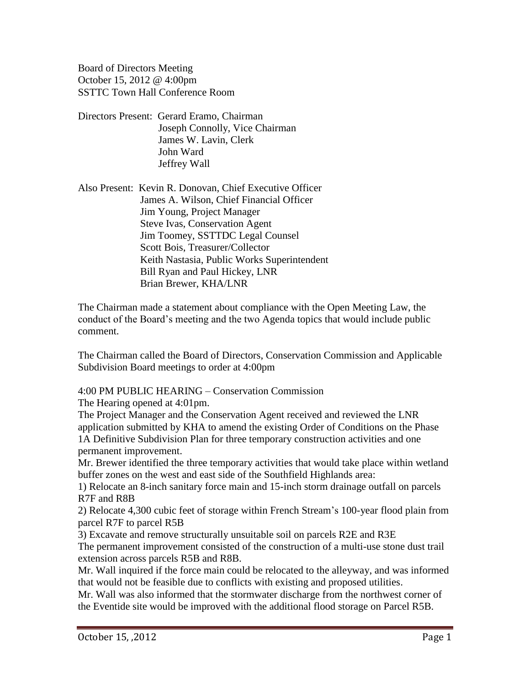Board of Directors Meeting October 15, 2012 @ 4:00pm SSTTC Town Hall Conference Room

Directors Present: Gerard Eramo, Chairman Joseph Connolly, Vice Chairman James W. Lavin, Clerk John Ward Jeffrey Wall

Also Present: Kevin R. Donovan, Chief Executive Officer James A. Wilson, Chief Financial Officer Jim Young, Project Manager Steve Ivas, Conservation Agent Jim Toomey, SSTTDC Legal Counsel Scott Bois, Treasurer/Collector Keith Nastasia, Public Works Superintendent Bill Ryan and Paul Hickey, LNR Brian Brewer, KHA/LNR

The Chairman made a statement about compliance with the Open Meeting Law, the conduct of the Board's meeting and the two Agenda topics that would include public comment.

The Chairman called the Board of Directors, Conservation Commission and Applicable Subdivision Board meetings to order at 4:00pm

4:00 PM PUBLIC HEARING – Conservation Commission

The Hearing opened at 4:01pm.

The Project Manager and the Conservation Agent received and reviewed the LNR application submitted by KHA to amend the existing Order of Conditions on the Phase 1A Definitive Subdivision Plan for three temporary construction activities and one permanent improvement.

Mr. Brewer identified the three temporary activities that would take place within wetland buffer zones on the west and east side of the Southfield Highlands area:

1) Relocate an 8-inch sanitary force main and 15-inch storm drainage outfall on parcels R7F and R8B

2) Relocate 4,300 cubic feet of storage within French Stream's 100-year flood plain from parcel R7F to parcel R5B

3) Excavate and remove structurally unsuitable soil on parcels R2E and R3E

The permanent improvement consisted of the construction of a multi-use stone dust trail extension across parcels R5B and R8B.

Mr. Wall inquired if the force main could be relocated to the alleyway, and was informed that would not be feasible due to conflicts with existing and proposed utilities.

Mr. Wall was also informed that the stormwater discharge from the northwest corner of the Eventide site would be improved with the additional flood storage on Parcel R5B.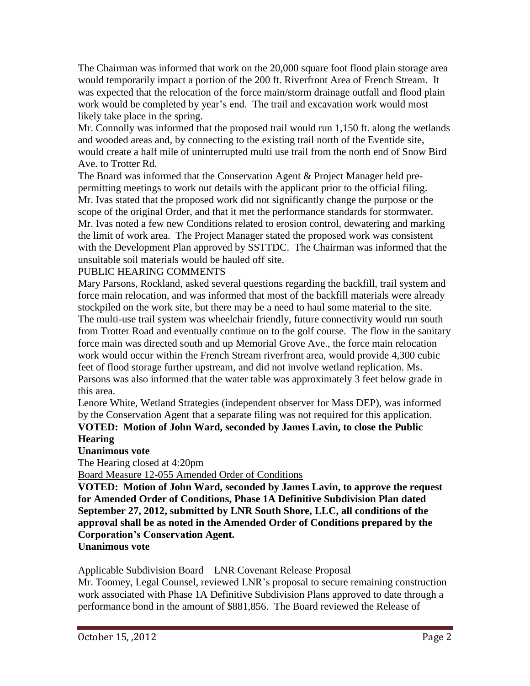The Chairman was informed that work on the 20,000 square foot flood plain storage area would temporarily impact a portion of the 200 ft. Riverfront Area of French Stream. It was expected that the relocation of the force main/storm drainage outfall and flood plain work would be completed by year's end. The trail and excavation work would most likely take place in the spring.

Mr. Connolly was informed that the proposed trail would run 1,150 ft. along the wetlands and wooded areas and, by connecting to the existing trail north of the Eventide site, would create a half mile of uninterrupted multi use trail from the north end of Snow Bird Ave. to Trotter Rd.

The Board was informed that the Conservation Agent & Project Manager held prepermitting meetings to work out details with the applicant prior to the official filing. Mr. Ivas stated that the proposed work did not significantly change the purpose or the scope of the original Order, and that it met the performance standards for stormwater. Mr. Ivas noted a few new Conditions related to erosion control, dewatering and marking the limit of work area. The Project Manager stated the proposed work was consistent with the Development Plan approved by SSTTDC. The Chairman was informed that the unsuitable soil materials would be hauled off site.

## PUBLIC HEARING COMMENTS

Mary Parsons, Rockland, asked several questions regarding the backfill, trail system and force main relocation, and was informed that most of the backfill materials were already stockpiled on the work site, but there may be a need to haul some material to the site. The multi-use trail system was wheelchair friendly, future connectivity would run south from Trotter Road and eventually continue on to the golf course. The flow in the sanitary force main was directed south and up Memorial Grove Ave., the force main relocation work would occur within the French Stream riverfront area, would provide 4,300 cubic feet of flood storage further upstream, and did not involve wetland replication. Ms. Parsons was also informed that the water table was approximately 3 feet below grade in this area.

Lenore White, Wetland Strategies (independent observer for Mass DEP), was informed by the Conservation Agent that a separate filing was not required for this application.

## **VOTED: Motion of John Ward, seconded by James Lavin, to close the Public Hearing**

# **Unanimous vote**

The Hearing closed at 4:20pm

Board Measure 12-055 Amended Order of Conditions

**VOTED: Motion of John Ward, seconded by James Lavin, to approve the request for Amended Order of Conditions, Phase 1A Definitive Subdivision Plan dated September 27, 2012, submitted by LNR South Shore, LLC, all conditions of the approval shall be as noted in the Amended Order of Conditions prepared by the Corporation's Conservation Agent.**

### **Unanimous vote**

Applicable Subdivision Board – LNR Covenant Release Proposal

Mr. Toomey, Legal Counsel, reviewed LNR's proposal to secure remaining construction work associated with Phase 1A Definitive Subdivision Plans approved to date through a performance bond in the amount of \$881,856. The Board reviewed the Release of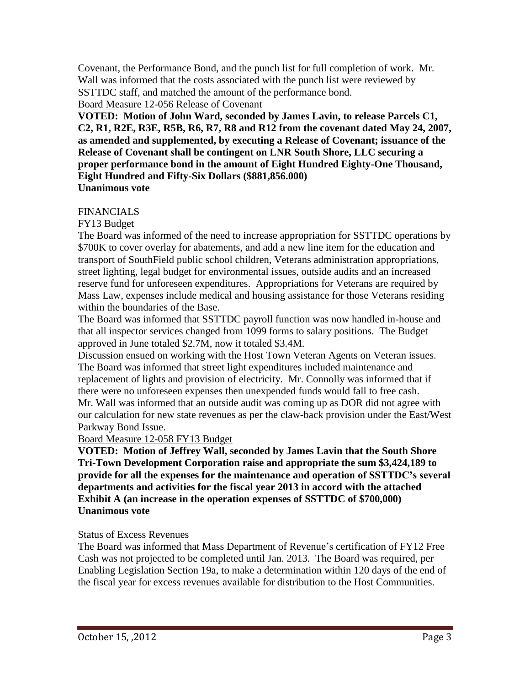Covenant, the Performance Bond, and the punch list for full completion of work. Mr. Wall was informed that the costs associated with the punch list were reviewed by SSTTDC staff, and matched the amount of the performance bond.

Board Measure 12-056 Release of Covenant

**VOTED: Motion of John Ward, seconded by James Lavin, to release Parcels C1, C2, R1, R2E, R3E, R5B, R6, R7, R8 and R12 from the covenant dated May 24, 2007, as amended and supplemented, by executing a Release of Covenant; issuance of the Release of Covenant shall be contingent on LNR South Shore, LLC securing a proper performance bond in the amount of Eight Hundred Eighty-One Thousand, Eight Hundred and Fifty-Six Dollars (\$881,856.000) Unanimous vote**

## FINANCIALS

FY13 Budget

The Board was informed of the need to increase appropriation for SSTTDC operations by \$700K to cover overlay for abatements, and add a new line item for the education and transport of SouthField public school children, Veterans administration appropriations, street lighting, legal budget for environmental issues, outside audits and an increased reserve fund for unforeseen expenditures. Appropriations for Veterans are required by Mass Law, expenses include medical and housing assistance for those Veterans residing within the boundaries of the Base.

The Board was informed that SSTTDC payroll function was now handled in-house and that all inspector services changed from 1099 forms to salary positions. The Budget approved in June totaled \$2.7M, now it totaled \$3.4M.

Discussion ensued on working with the Host Town Veteran Agents on Veteran issues. The Board was informed that street light expenditures included maintenance and replacement of lights and provision of electricity. Mr. Connolly was informed that if there were no unforeseen expenses then unexpended funds would fall to free cash. Mr. Wall was informed that an outside audit was coming up as DOR did not agree with our calculation for new state revenues as per the claw-back provision under the East/West Parkway Bond Issue.

### Board Measure 12-058 FY13 Budget

**VOTED: Motion of Jeffrey Wall, seconded by James Lavin that the South Shore Tri-Town Development Corporation raise and appropriate the sum \$3,424,189 to provide for all the expenses for the maintenance and operation of SSTTDC's several departments and activities for the fiscal year 2013 in accord with the attached Exhibit A (an increase in the operation expenses of SSTTDC of \$700,000) Unanimous vote**

### Status of Excess Revenues

The Board was informed that Mass Department of Revenue's certification of FY12 Free Cash was not projected to be completed until Jan. 2013. The Board was required, per Enabling Legislation Section 19a, to make a determination within 120 days of the end of the fiscal year for excess revenues available for distribution to the Host Communities.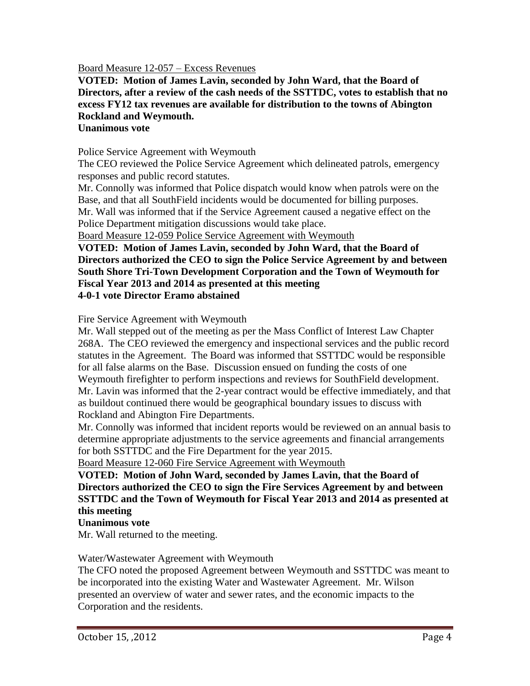Board Measure 12-057 – Excess Revenues

**VOTED: Motion of James Lavin, seconded by John Ward, that the Board of Directors, after a review of the cash needs of the SSTTDC, votes to establish that no excess FY12 tax revenues are available for distribution to the towns of Abington Rockland and Weymouth.**

### **Unanimous vote**

Police Service Agreement with Weymouth

The CEO reviewed the Police Service Agreement which delineated patrols, emergency responses and public record statutes.

Mr. Connolly was informed that Police dispatch would know when patrols were on the Base, and that all SouthField incidents would be documented for billing purposes. Mr. Wall was informed that if the Service Agreement caused a negative effect on the Police Department mitigation discussions would take place.

Board Measure 12-059 Police Service Agreement with Weymouth

**VOTED: Motion of James Lavin, seconded by John Ward, that the Board of Directors authorized the CEO to sign the Police Service Agreement by and between South Shore Tri-Town Development Corporation and the Town of Weymouth for Fiscal Year 2013 and 2014 as presented at this meeting 4-0-1 vote Director Eramo abstained**

Fire Service Agreement with Weymouth

Mr. Wall stepped out of the meeting as per the Mass Conflict of Interest Law Chapter 268A. The CEO reviewed the emergency and inspectional services and the public record statutes in the Agreement. The Board was informed that SSTTDC would be responsible for all false alarms on the Base. Discussion ensued on funding the costs of one Weymouth firefighter to perform inspections and reviews for SouthField development. Mr. Lavin was informed that the 2-year contract would be effective immediately, and that as buildout continued there would be geographical boundary issues to discuss with Rockland and Abington Fire Departments.

Mr. Connolly was informed that incident reports would be reviewed on an annual basis to determine appropriate adjustments to the service agreements and financial arrangements for both SSTTDC and the Fire Department for the year 2015.

Board Measure 12-060 Fire Service Agreement with Weymouth

**VOTED: Motion of John Ward, seconded by James Lavin, that the Board of Directors authorized the CEO to sign the Fire Services Agreement by and between SSTTDC and the Town of Weymouth for Fiscal Year 2013 and 2014 as presented at this meeting**

#### **Unanimous vote**

Mr. Wall returned to the meeting.

#### Water/Wastewater Agreement with Weymouth

The CFO noted the proposed Agreement between Weymouth and SSTTDC was meant to be incorporated into the existing Water and Wastewater Agreement. Mr. Wilson presented an overview of water and sewer rates, and the economic impacts to the Corporation and the residents.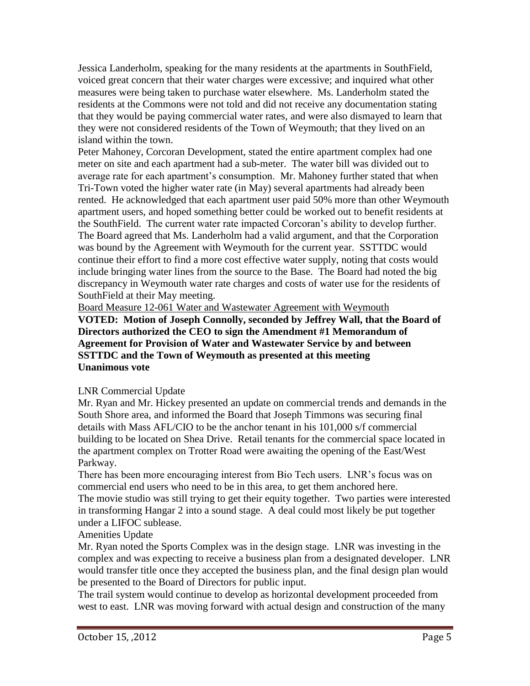Jessica Landerholm, speaking for the many residents at the apartments in SouthField, voiced great concern that their water charges were excessive; and inquired what other measures were being taken to purchase water elsewhere. Ms. Landerholm stated the residents at the Commons were not told and did not receive any documentation stating that they would be paying commercial water rates, and were also dismayed to learn that they were not considered residents of the Town of Weymouth; that they lived on an island within the town.

Peter Mahoney, Corcoran Development, stated the entire apartment complex had one meter on site and each apartment had a sub-meter. The water bill was divided out to average rate for each apartment's consumption. Mr. Mahoney further stated that when Tri-Town voted the higher water rate (in May) several apartments had already been rented. He acknowledged that each apartment user paid 50% more than other Weymouth apartment users, and hoped something better could be worked out to benefit residents at the SouthField. The current water rate impacted Corcoran's ability to develop further. The Board agreed that Ms. Landerholm had a valid argument, and that the Corporation was bound by the Agreement with Weymouth for the current year. SSTTDC would continue their effort to find a more cost effective water supply, noting that costs would include bringing water lines from the source to the Base. The Board had noted the big discrepancy in Weymouth water rate charges and costs of water use for the residents of SouthField at their May meeting.

Board Measure 12-061 Water and Wastewater Agreement with Weymouth

**VOTED: Motion of Joseph Connolly, seconded by Jeffrey Wall, that the Board of Directors authorized the CEO to sign the Amendment #1 Memorandum of Agreement for Provision of Water and Wastewater Service by and between SSTTDC and the Town of Weymouth as presented at this meeting Unanimous vote**

# LNR Commercial Update

Mr. Ryan and Mr. Hickey presented an update on commercial trends and demands in the South Shore area, and informed the Board that Joseph Timmons was securing final details with Mass AFL/CIO to be the anchor tenant in his 101,000 s/f commercial building to be located on Shea Drive. Retail tenants for the commercial space located in the apartment complex on Trotter Road were awaiting the opening of the East/West Parkway.

There has been more encouraging interest from Bio Tech users. LNR's focus was on commercial end users who need to be in this area, to get them anchored here.

The movie studio was still trying to get their equity together. Two parties were interested in transforming Hangar 2 into a sound stage. A deal could most likely be put together under a LIFOC sublease.

# Amenities Update

Mr. Ryan noted the Sports Complex was in the design stage. LNR was investing in the complex and was expecting to receive a business plan from a designated developer. LNR would transfer title once they accepted the business plan, and the final design plan would be presented to the Board of Directors for public input.

The trail system would continue to develop as horizontal development proceeded from west to east. LNR was moving forward with actual design and construction of the many